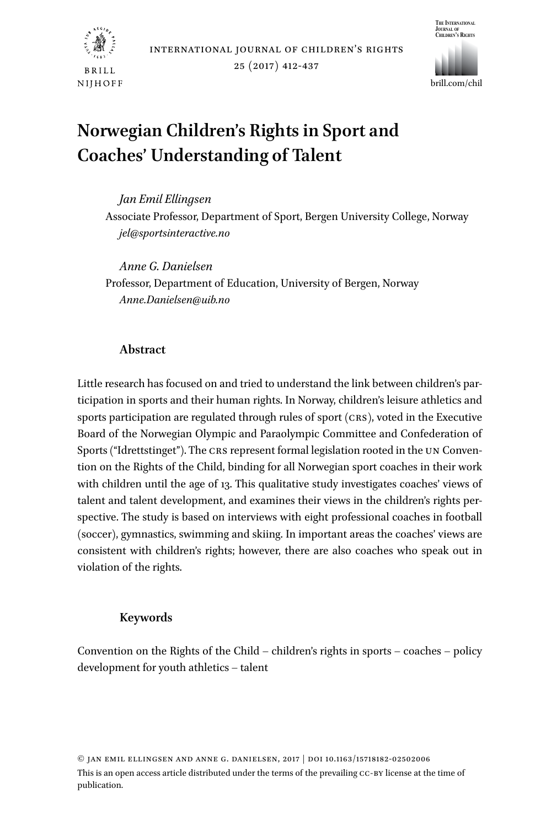

international journal of children's rights 25 (2017) 412-437



# **Norwegian Children's Rights in Sport and Coaches' Understanding of Talent**

*Jan Emil Ellingsen* Associate Professor, Department of Sport, Bergen University College, Norway *jel@sportsinteractive.no*

*Anne G. Danielsen* Professor, Department of Education, University of Bergen, Norway *Anne.Danielsen@uib.no*

# **Abstract**

Little research has focused on and tried to understand the link between children's participation in sports and their human rights. In Norway, children's leisure athletics and sports participation are regulated through rules of sport (crs), voted in the Executive Board of the Norwegian Olympic and Paraolympic Committee and Confederation of Sports ("Idrettstinget"). The crs represent formal legislation rooted in the un Convention on the Rights of the Child, binding for all Norwegian sport coaches in their work with children until the age of 13. This qualitative study investigates coaches' views of talent and talent development, and examines their views in the children's rights perspective. The study is based on interviews with eight professional coaches in football (soccer), gymnastics, swimming and skiing. In important areas the coaches' views are consistent with children's rights; however, there are also coaches who speak out in violation of the rights.

# **Keywords**

Convention on the Rights of the Child – children's rights in sports – coaches – policy development for youth athletics – talent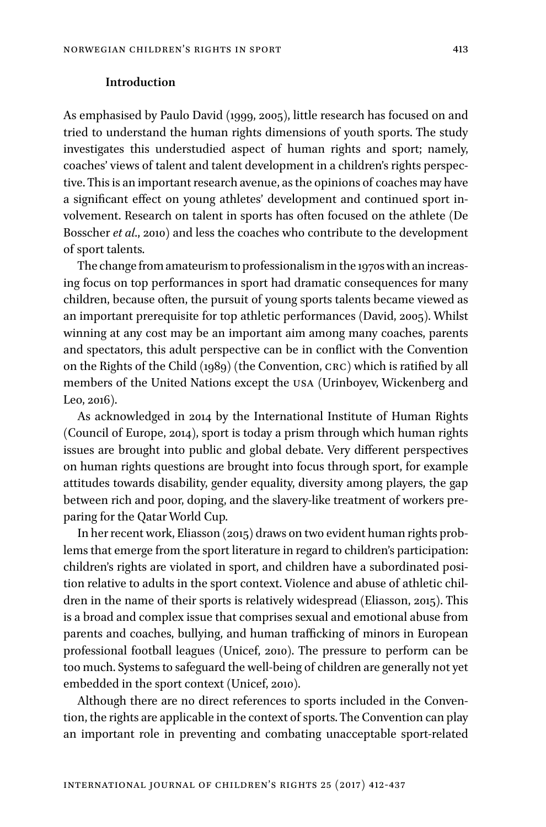#### **Introduction**

As emphasised by Paulo David (1999, 2005), little research has focused on and tried to understand the human rights dimensions of youth sports. The study investigates this understudied aspect of human rights and sport; namely, coaches' views of talent and talent development in a children's rights perspective. This is an important research avenue, as the opinions of coaches may have a significant effect on young athletes' development and continued sport involvement. Research on talent in sports has often focused on the athlete (De Bosscher *et al*., 2010) and less the coaches who contribute to the development of sport talents.

The change from amateurism to professionalism in the 1970s with an increasing focus on top performances in sport had dramatic consequences for many children, because often, the pursuit of young sports talents became viewed as an important prerequisite for top athletic performances (David, 2005). Whilst winning at any cost may be an important aim among many coaches, parents and spectators, this adult perspective can be in conflict with the Convention on the Rights of the Child (1989) (the Convention, crc) which is ratified by all members of the United Nations except the usa (Urinboyev, Wickenberg and Leo, 2016).

As acknowledged in 2014 by the International Institute of Human Rights (Council of Europe, 2014), sport is today a prism through which human rights issues are brought into public and global debate. Very different perspectives on human rights questions are brought into focus through sport, for example attitudes towards disability, gender equality, diversity among players, the gap between rich and poor, doping, and the slavery-like treatment of workers preparing for the Qatar World Cup.

In her recent work, Eliasson (2015) draws on two evident human rights problems that emerge from the sport literature in regard to children's participation: children's rights are violated in sport, and children have a subordinated position relative to adults in the sport context. Violence and abuse of athletic children in the name of their sports is relatively widespread (Eliasson, 2015). This is a broad and complex issue that comprises sexual and emotional abuse from parents and coaches, bullying, and human trafficking of minors in European professional football leagues (Unicef, 2010). The pressure to perform can be too much. Systems to safeguard the well-being of children are generally not yet embedded in the sport context (Unicef, 2010).

Although there are no direct references to sports included in the Convention, the rights are applicable in the context of sports. The Convention can play an important role in preventing and combating unacceptable sport-related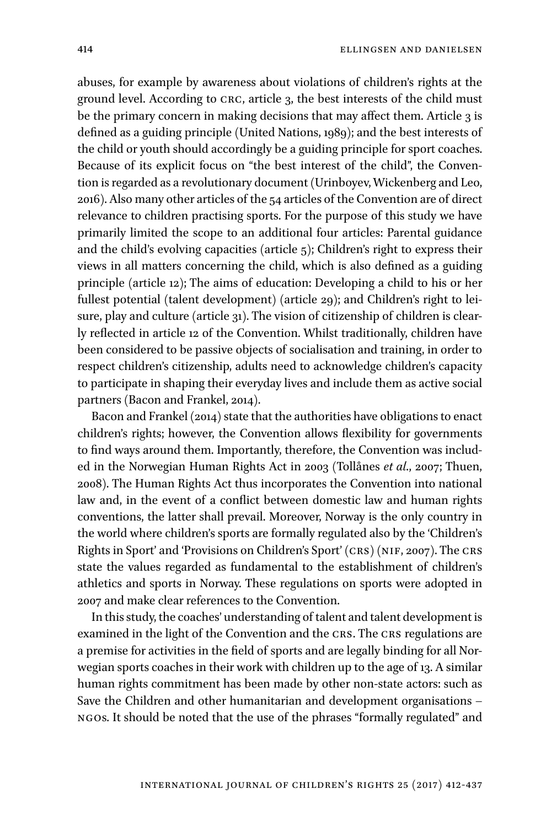abuses, for example by awareness about violations of children's rights at the ground level. According to crc, article 3, the best interests of the child must be the primary concern in making decisions that may affect them. Article 3 is defined as a guiding principle (United Nations, 1989); and the best interests of the child or youth should accordingly be a guiding principle for sport coaches. Because of its explicit focus on "the best interest of the child", the Convention is regarded as a revolutionary document (Urinboyev, Wickenberg and Leo, 2016). Also many other articles of the 54 articles of the Convention are of direct relevance to children practising sports. For the purpose of this study we have primarily limited the scope to an additional four articles: Parental guidance and the child's evolving capacities (article 5); Children's right to express their views in all matters concerning the child, which is also defined as a guiding principle (article 12); The aims of education: Developing a child to his or her fullest potential (talent development) (article 29); and Children's right to leisure, play and culture (article 31). The vision of citizenship of children is clearly reflected in article 12 of the Convention. Whilst traditionally, children have been considered to be passive objects of socialisation and training, in order to respect children's citizenship, adults need to acknowledge children's capacity to participate in shaping their everyday lives and include them as active social partners (Bacon and Frankel, 2014).

Bacon and Frankel (2014) state that the authorities have obligations to enact children's rights; however, the Convention allows flexibility for governments to find ways around them. Importantly, therefore, the Convention was included in the Norwegian Human Rights Act in 2003 (Tollånes *et al*., 2007; Thuen, 2008). The Human Rights Act thus incorporates the Convention into national law and, in the event of a conflict between domestic law and human rights conventions, the latter shall prevail. Moreover, Norway is the only country in the world where children's sports are formally regulated also by the 'Children's Rights in Sport' and 'Provisions on Children's Sport' (CRS) (NIF, 2007). The CRS state the values regarded as fundamental to the establishment of children's athletics and sports in Norway. These regulations on sports were adopted in 2007 and make clear references to the Convention.

In this study, the coaches' understanding of talent and talent development is examined in the light of the Convention and the crs. The crs regulations are a premise for activities in the field of sports and are legally binding for all Norwegian sports coaches in their work with children up to the age of 13. A similar human rights commitment has been made by other non-state actors: such as Save the Children and other humanitarian and development organisations – ngos. It should be noted that the use of the phrases "formally regulated" and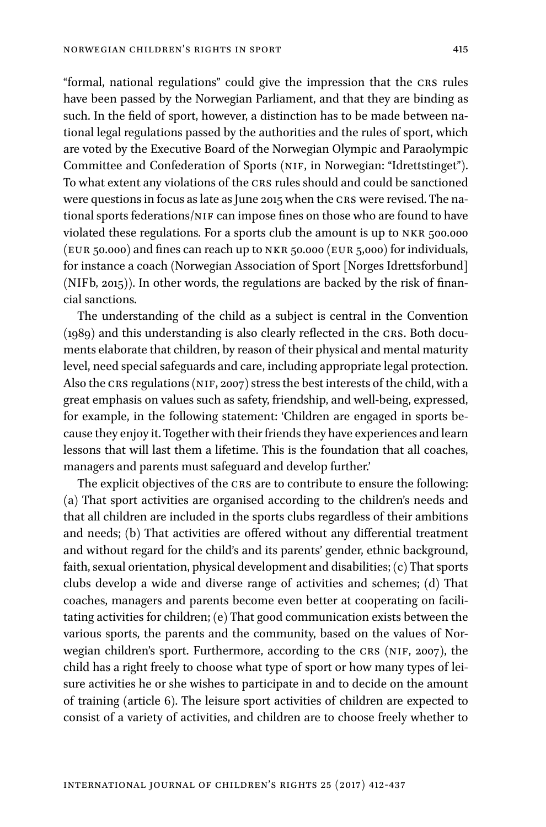"formal, national regulations" could give the impression that the crs rules have been passed by the Norwegian Parliament, and that they are binding as such. In the field of sport, however, a distinction has to be made between national legal regulations passed by the authorities and the rules of sport, which are voted by the Executive Board of the Norwegian Olympic and Paraolympic Committee and Confederation of Sports (NIF, in Norwegian: "Idrettstinget"). To what extent any violations of the crs rules should and could be sanctioned were questions in focus as late as June 2015 when the crs were revised. The national sports federations/nif can impose fines on those who are found to have violated these regulations. For a sports club the amount is up to nkr 500.000 (eur 50.000) and fines can reach up to nkr 50.000 (eur 5,000) for individuals, for instance a coach (Norwegian Association of Sport [Norges Idrettsforbund] (NIFb, 2015)). In other words, the regulations are backed by the risk of financial sanctions.

The understanding of the child as a subject is central in the Convention (1989) and this understanding is also clearly reflected in the crs. Both documents elaborate that children, by reason of their physical and mental maturity level, need special safeguards and care, including appropriate legal protection. Also the CRS regulations (NIF, 2007) stress the best interests of the child, with a great emphasis on values such as safety, friendship, and well-being, expressed, for example, in the following statement: 'Children are engaged in sports because they enjoy it. Together with their friends they have experiences and learn lessons that will last them a lifetime. This is the foundation that all coaches, managers and parents must safeguard and develop further.'

The explicit objectives of the crs are to contribute to ensure the following: (a) That sport activities are organised according to the children's needs and that all children are included in the sports clubs regardless of their ambitions and needs; (b) That activities are offered without any differential treatment and without regard for the child's and its parents' gender, ethnic background, faith, sexual orientation, physical development and disabilities; (c) That sports clubs develop a wide and diverse range of activities and schemes; (d) That coaches, managers and parents become even better at cooperating on facilitating activities for children; (e) That good communication exists between the various sports, the parents and the community, based on the values of Norwegian children's sport. Furthermore, according to the CRS (NIF, 2007), the child has a right freely to choose what type of sport or how many types of leisure activities he or she wishes to participate in and to decide on the amount of training (article 6). The leisure sport activities of children are expected to consist of a variety of activities, and children are to choose freely whether to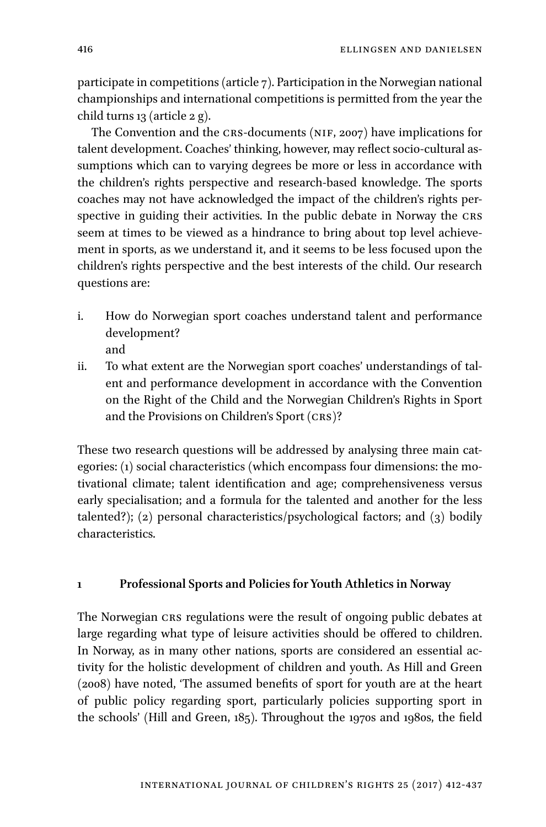participate in competitions (article 7). Participation in the Norwegian national championships and international competitions is permitted from the year the child turns 13 (article 2 g).

The Convention and the CRS-documents (NIF, 2007) have implications for talent development. Coaches' thinking, however, may reflect socio-cultural assumptions which can to varying degrees be more or less in accordance with the children's rights perspective and research-based knowledge. The sports coaches may not have acknowledged the impact of the children's rights perspective in guiding their activities. In the public debate in Norway the crs seem at times to be viewed as a hindrance to bring about top level achievement in sports, as we understand it, and it seems to be less focused upon the children's rights perspective and the best interests of the child. Our research questions are:

- i. How do Norwegian sport coaches understand talent and performance development? and
- ii. To what extent are the Norwegian sport coaches' understandings of talent and performance development in accordance with the Convention on the Right of the Child and the Norwegian Children's Rights in Sport and the Provisions on Children's Sport (crs)?

These two research questions will be addressed by analysing three main categories: (1) social characteristics (which encompass four dimensions: the motivational climate; talent identification and age; comprehensiveness versus early specialisation; and a formula for the talented and another for the less talented?); (2) personal characteristics/psychological factors; and (3) bodily characteristics.

#### **1 Professional Sports and Policies for Youth Athletics in Norway**

The Norwegian crs regulations were the result of ongoing public debates at large regarding what type of leisure activities should be offered to children. In Norway, as in many other nations, sports are considered an essential activity for the holistic development of children and youth. As Hill and Green (2008) have noted, 'The assumed benefits of sport for youth are at the heart of public policy regarding sport, particularly policies supporting sport in the schools' (Hill and Green, 185). Throughout the 1970s and 1980s, the field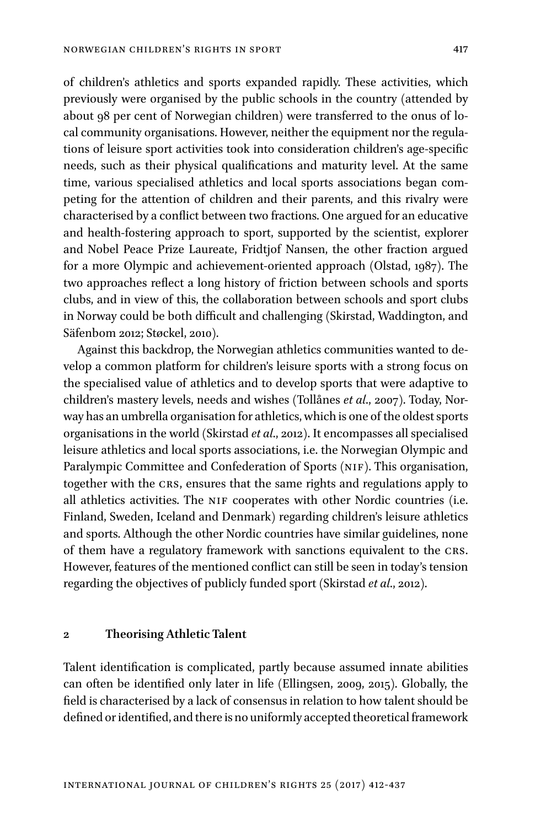of children's athletics and sports expanded rapidly. These activities, which previously were organised by the public schools in the country (attended by about 98 per cent of Norwegian children) were transferred to the onus of local community organisations. However, neither the equipment nor the regulations of leisure sport activities took into consideration children's age-specific needs, such as their physical qualifications and maturity level. At the same time, various specialised athletics and local sports associations began competing for the attention of children and their parents, and this rivalry were characterised by a conflict between two fractions. One argued for an educative and health-fostering approach to sport, supported by the scientist, explorer and Nobel Peace Prize Laureate, Fridtjof Nansen, the other fraction argued for a more Olympic and achievement-oriented approach (Olstad, 1987). The two approaches reflect a long history of friction between schools and sports clubs, and in view of this, the collaboration between schools and sport clubs in Norway could be both difficult and challenging (Skirstad, Waddington, and Säfenbom 2012; Støckel, 2010).

Against this backdrop, the Norwegian athletics communities wanted to develop a common platform for children's leisure sports with a strong focus on the specialised value of athletics and to develop sports that were adaptive to children's mastery levels, needs and wishes (Tollånes *et al*., 2007). Today, Norway has an umbrella organisation for athletics, which is one of the oldest sports organisations in the world (Skirstad *et al*., 2012). It encompasses all specialised leisure athletics and local sports associations, i.e. the Norwegian Olympic and Paralympic Committee and Confederation of Sports (NIF). This organisation, together with the crs, ensures that the same rights and regulations apply to all athletics activities. The nif cooperates with other Nordic countries (i.e. Finland, Sweden, Iceland and Denmark) regarding children's leisure athletics and sports. Although the other Nordic countries have similar guidelines, none of them have a regulatory framework with sanctions equivalent to the crs. However, features of the mentioned conflict can still be seen in today's tension regarding the objectives of publicly funded sport (Skirstad *et al*., 2012).

#### **2 Theorising Athletic Talent**

Talent identification is complicated, partly because assumed innate abilities can often be identified only later in life (Ellingsen, 2009, 2015). Globally, the field is characterised by a lack of consensus in relation to how talent should be defined or identified, and there is no uniformly accepted theoretical framework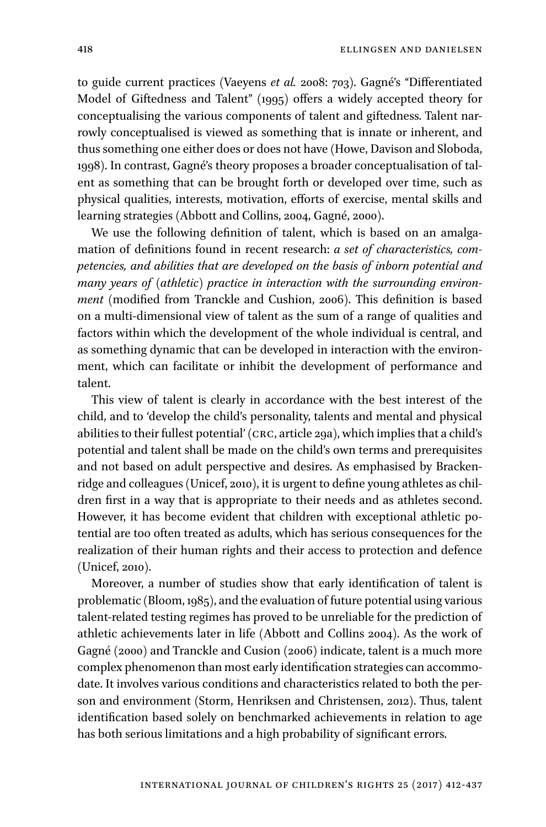to guide current practices (Vaeyens *et al.* 2008: 703). Gagné's "Differentiated Model of Giftedness and Talent" (1995) offers a widely accepted theory for conceptualising the various components of talent and giftedness. Talent narrowly conceptualised is viewed as something that is innate or inherent, and thus something one either does or does not have (Howe, Davison and Sloboda, 1998). In contrast, Gagné's theory proposes a broader conceptualisation of talent as something that can be brought forth or developed over time, such as physical qualities, interests, motivation, efforts of exercise, mental skills and learning strategies (Abbott and Collins, 2004, Gagné, 2000).

We use the following definition of talent, which is based on an amalgamation of definitions found in recent research: *a set of characteristics, competencies, and abilities that are developed on the basis of inborn potential and many years of (athletic) practice in interaction with the surrounding environment* (modified from Tranckle and Cushion, 2006). This definition is based on a multi-dimensional view of talent as the sum of a range of qualities and factors within which the development of the whole individual is central, and as something dynamic that can be developed in interaction with the environment, which can facilitate or inhibit the development of performance and talent.

This view of talent is clearly in accordance with the best interest of the child, and to 'develop the child's personality, talents and mental and physical abilities to their fullest potential' (crc, article 29a), which implies that a child's potential and talent shall be made on the child's own terms and prerequisites and not based on adult perspective and desires. As emphasised by Brackenridge and colleagues (Unicef, 2010), it is urgent to define young athletes as children first in a way that is appropriate to their needs and as athletes second. However, it has become evident that children with exceptional athletic potential are too often treated as adults, which has serious consequences for the realization of their human rights and their access to protection and defence (Unicef, 2010).

Moreover, a number of studies show that early identification of talent is problematic (Bloom, 1985), and the evaluation of future potential using various talent-related testing regimes has proved to be unreliable for the prediction of athletic achievements later in life (Abbott and Collins 2004). As the work of Gagné (2000) and Tranckle and Cusion (2006) indicate, talent is a much more complex phenomenon than most early identification strategies can accommodate. It involves various conditions and characteristics related to both the person and environment (Storm, Henriksen and Christensen, 2012). Thus, talent identification based solely on benchmarked achievements in relation to age has both serious limitations and a high probability of significant errors.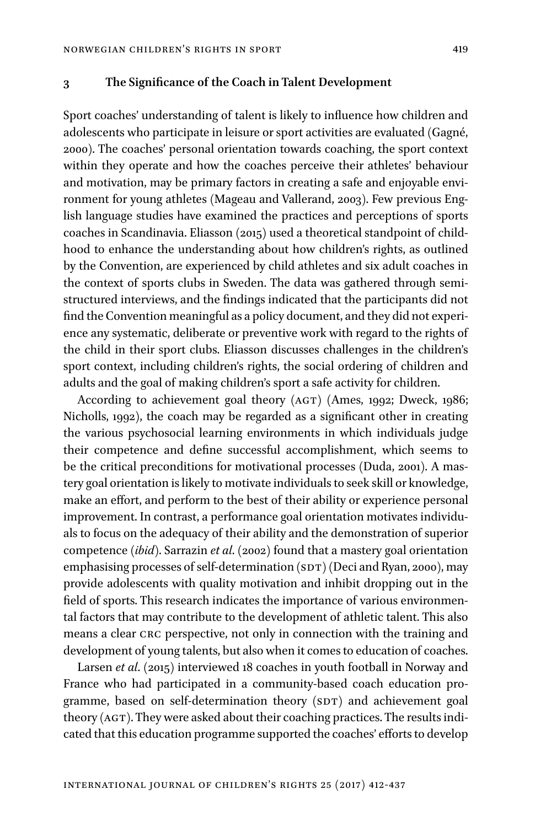#### **3 The Significance of the Coach in Talent Development**

Sport coaches' understanding of talent is likely to influence how children and adolescents who participate in leisure or sport activities are evaluated (Gagné, 2000). The coaches' personal orientation towards coaching, the sport context within they operate and how the coaches perceive their athletes' behaviour and motivation, may be primary factors in creating a safe and enjoyable environment for young athletes (Mageau and Vallerand, 2003). Few previous English language studies have examined the practices and perceptions of sports coaches in Scandinavia. Eliasson (2015) used a theoretical standpoint of childhood to enhance the understanding about how children's rights, as outlined by the Convention, are experienced by child athletes and six adult coaches in the context of sports clubs in Sweden. The data was gathered through semistructured interviews, and the findings indicated that the participants did not find the Convention meaningful as a policy document, and they did not experience any systematic, deliberate or preventive work with regard to the rights of the child in their sport clubs. Eliasson discusses challenges in the children's sport context, including children's rights, the social ordering of children and adults and the goal of making children's sport a safe activity for children.

According to achievement goal theory (AGT) (Ames, 1992; Dweck, 1986; Nicholls, 1992), the coach may be regarded as a significant other in creating the various psychosocial learning environments in which individuals judge their competence and define successful accomplishment, which seems to be the critical preconditions for motivational processes (Duda, 2001). A mastery goal orientation is likely to motivate individuals to seek skill or knowledge, make an effort, and perform to the best of their ability or experience personal improvement. In contrast, a performance goal orientation motivates individuals to focus on the adequacy of their ability and the demonstration of superior competence (*ibid*). Sarrazin *et al*. (2002) found that a mastery goal orientation emphasising processes of self-determination (SDT) (Deci and Ryan, 2000), may provide adolescents with quality motivation and inhibit dropping out in the field of sports. This research indicates the importance of various environmental factors that may contribute to the development of athletic talent. This also means a clear crc perspective, not only in connection with the training and development of young talents, but also when it comes to education of coaches.

Larsen *et al.* (2015) interviewed 18 coaches in youth football in Norway and France who had participated in a community-based coach education programme, based on self-determination theory (SDT) and achievement goal theory (AGT). They were asked about their coaching practices. The results indicated that this education programme supported the coaches' efforts to develop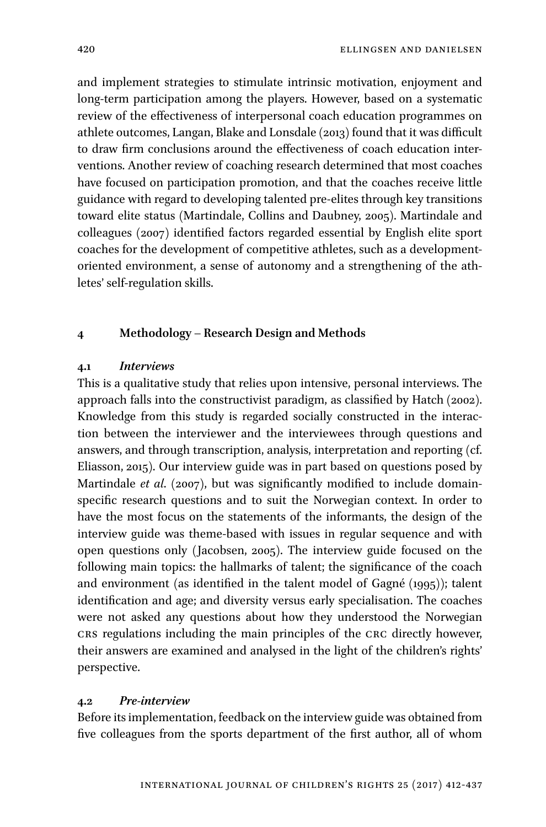and implement strategies to stimulate intrinsic motivation, enjoyment and long-term participation among the players. However, based on a systematic review of the effectiveness of interpersonal coach education programmes on athlete outcomes, Langan, Blake and Lonsdale (2013) found that it was difficult to draw firm conclusions around the effectiveness of coach education interventions. Another review of coaching research determined that most coaches have focused on participation promotion, and that the coaches receive little guidance with regard to developing talented pre-elites through key transitions toward elite status (Martindale, Collins and Daubney, 2005). Martindale and colleagues (2007) identified factors regarded essential by English elite sport coaches for the development of competitive athletes, such as a developmentoriented environment, a sense of autonomy and a strengthening of the athletes' self-regulation skills.

#### **4 Methodology – Research Design and Methods**

# **4.1** *Interviews*

This is a qualitative study that relies upon intensive, personal interviews. The approach falls into the constructivist paradigm, as classified by Hatch (2002). Knowledge from this study is regarded socially constructed in the interaction between the interviewer and the interviewees through questions and answers, and through transcription, analysis, interpretation and reporting (cf. Eliasson, 2015). Our interview guide was in part based on questions posed by Martindale *et al*. (2007), but was significantly modified to include domainspecific research questions and to suit the Norwegian context. In order to have the most focus on the statements of the informants, the design of the interview guide was theme-based with issues in regular sequence and with open questions only (Jacobsen, 2005). The interview guide focused on the following main topics: the hallmarks of talent; the significance of the coach and environment (as identified in the talent model of Gagné (1995)); talent identification and age; and diversity versus early specialisation. The coaches were not asked any questions about how they understood the Norwegian crs regulations including the main principles of the crc directly however, their answers are examined and analysed in the light of the children's rights' perspective.

### **4.2** *Pre-interview*

Before its implementation, feedback on the interview guide was obtained from five colleagues from the sports department of the first author, all of whom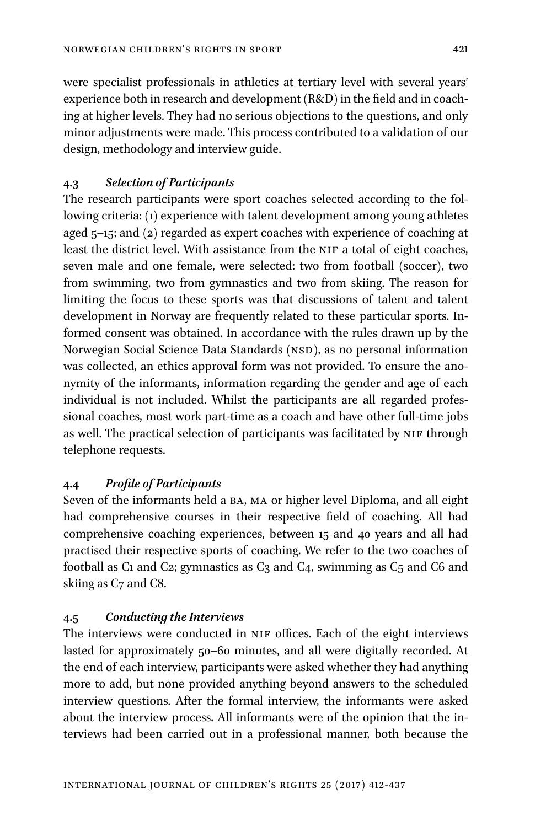were specialist professionals in athletics at tertiary level with several years' experience both in research and development (R&D) in the field and in coaching at higher levels. They had no serious objections to the questions, and only minor adjustments were made. This process contributed to a validation of our design, methodology and interview guide.

# **4.3** *Selection of Participants*

The research participants were sport coaches selected according to the following criteria: (1) experience with talent development among young athletes aged 5–15; and (2) regarded as expert coaches with experience of coaching at least the district level. With assistance from the NIF a total of eight coaches, seven male and one female, were selected: two from football (soccer), two from swimming, two from gymnastics and two from skiing. The reason for limiting the focus to these sports was that discussions of talent and talent development in Norway are frequently related to these particular sports. Informed consent was obtained. In accordance with the rules drawn up by the Norwegian Social Science Data Standards (NSD), as no personal information was collected, an ethics approval form was not provided. To ensure the anonymity of the informants, information regarding the gender and age of each individual is not included. Whilst the participants are all regarded professional coaches, most work part-time as a coach and have other full-time jobs as well. The practical selection of participants was facilitated by NIF through telephone requests.

# **4.4** *Profile of Participants*

Seven of the informants held a BA, MA or higher level Diploma, and all eight had comprehensive courses in their respective field of coaching. All had comprehensive coaching experiences, between 15 and 40 years and all had practised their respective sports of coaching. We refer to the two coaches of football as C<sub>1</sub> and C<sub>2</sub>; gymnastics as C<sub>3</sub> and C<sub>4</sub>, swimming as C<sub>5</sub> and C<sub>6</sub> and skiing as C7 and C8.

# **4.5** *Conducting the Interviews*

The interviews were conducted in NIF offices. Each of the eight interviews lasted for approximately 50–60 minutes, and all were digitally recorded. At the end of each interview, participants were asked whether they had anything more to add, but none provided anything beyond answers to the scheduled interview questions. After the formal interview, the informants were asked about the interview process. All informants were of the opinion that the interviews had been carried out in a professional manner, both because the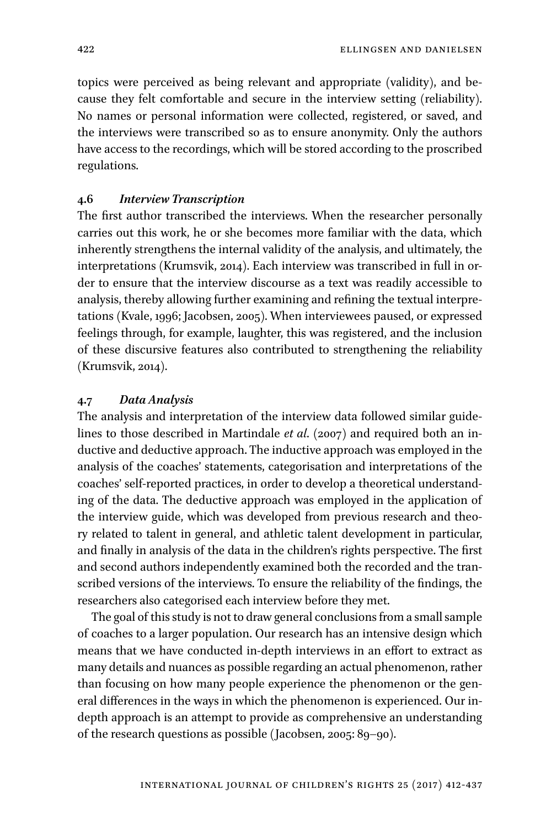topics were perceived as being relevant and appropriate (validity), and because they felt comfortable and secure in the interview setting (reliability). No names or personal information were collected, registered, or saved, and the interviews were transcribed so as to ensure anonymity. Only the authors have access to the recordings, which will be stored according to the proscribed regulations.

# **4.6** *Interview Transcription*

The first author transcribed the interviews. When the researcher personally carries out this work, he or she becomes more familiar with the data, which inherently strengthens the internal validity of the analysis, and ultimately, the interpretations (Krumsvik, 2014). Each interview was transcribed in full in order to ensure that the interview discourse as a text was readily accessible to analysis, thereby allowing further examining and refining the textual interpretations (Kvale, 1996; Jacobsen, 2005). When interviewees paused, or expressed feelings through, for example, laughter, this was registered, and the inclusion of these discursive features also contributed to strengthening the reliability (Krumsvik, 2014).

#### **4.7** *Data Analysis*

The analysis and interpretation of the interview data followed similar guidelines to those described in Martindale *et al*. (2007) and required both an inductive and deductive approach. The inductive approach was employed in the analysis of the coaches' statements, categorisation and interpretations of the coaches' self-reported practices, in order to develop a theoretical understanding of the data. The deductive approach was employed in the application of the interview guide, which was developed from previous research and theory related to talent in general, and athletic talent development in particular, and finally in analysis of the data in the children's rights perspective. The first and second authors independently examined both the recorded and the transcribed versions of the interviews. To ensure the reliability of the findings, the researchers also categorised each interview before they met.

The goal of this study is not to draw general conclusions from a small sample of coaches to a larger population. Our research has an intensive design which means that we have conducted in-depth interviews in an effort to extract as many details and nuances as possible regarding an actual phenomenon, rather than focusing on how many people experience the phenomenon or the general differences in the ways in which the phenomenon is experienced. Our indepth approach is an attempt to provide as comprehensive an understanding of the research questions as possible (Jacobsen, 2005: 89–90).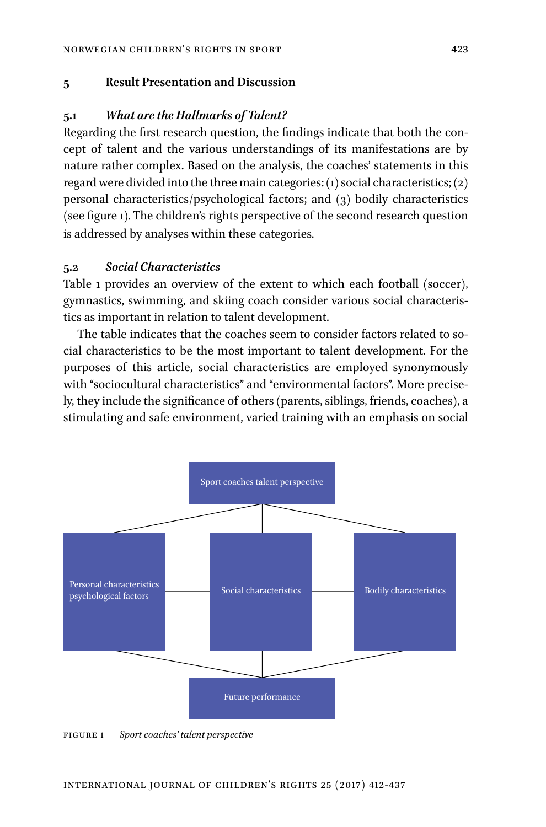#### **5 Result Presentation and Discussion**

#### **5.1** *What are the Hallmarks of Talent?*

Regarding the first research question, the findings indicate that both the concept of talent and the various understandings of its manifestations are by nature rather complex. Based on the analysis, the coaches' statements in this regard were divided into the three main categories:  $(i)$  social characteristics;  $(i)$ personal characteristics/psychological factors; and (3) bodily characteristics (see figure 1). The children's rights perspective of the second research question is addressed by analyses within these categories.

#### **5.2** *Social Characteristics*

Table 1 provides an overview of the extent to which each football (soccer), gymnastics, swimming, and skiing coach consider various social characteristics as important in relation to talent development.

The table indicates that the coaches seem to consider factors related to social characteristics to be the most important to talent development. For the purposes of this article, social characteristics are employed synonymously with "sociocultural characteristics" and "environmental factors". More precisely, they include the significance of others (parents, siblings, friends, coaches), a stimulating and safe environment, varied training with an emphasis on social



Figure 1 *Sport coaches' talent perspective*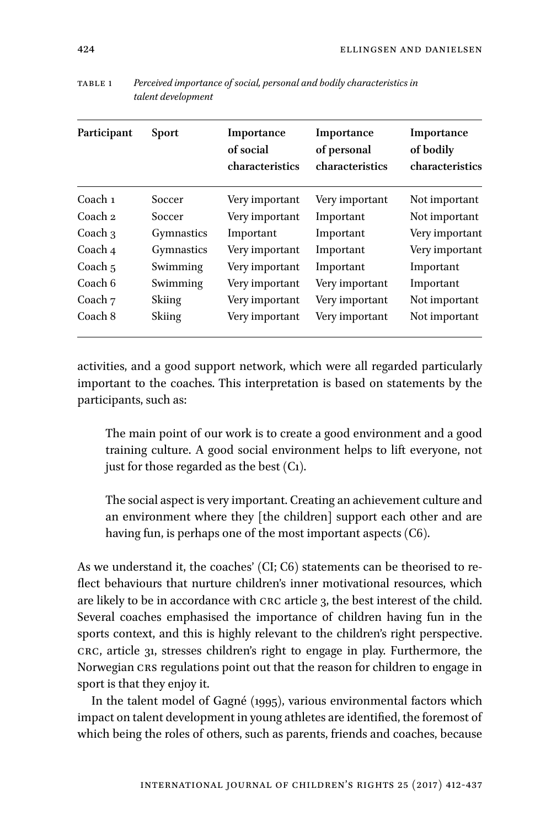| Participant | <b>Sport</b>      | Importance<br>of social<br>characteristics | Importance<br>of personal<br>characteristics | Importance<br>of bodily<br>characteristics |
|-------------|-------------------|--------------------------------------------|----------------------------------------------|--------------------------------------------|
|             |                   |                                            |                                              |                                            |
| Coach 2     | Soccer            | Very important                             | Important                                    | Not important                              |
| Coach 3     | Gymnastics        | Important                                  | Important                                    | Very important                             |
| Coach 4     | <b>Gymnastics</b> | Very important                             | Important                                    | Very important                             |
| Coach 5     | Swimming          | Very important                             | Important                                    | Important                                  |
| Coach 6     | Swimming          | Very important                             | Very important                               | Important                                  |
| Coach 7     | Skiing            | Very important                             | Very important                               | Not important                              |
| Coach 8     | Skiing            | Very important                             | Very important                               | Not important                              |

Table 1 *Perceived importance of social, personal and bodily characteristics in talent development*

activities, and a good support network, which were all regarded particularly important to the coaches. This interpretation is based on statements by the participants, such as:

The main point of our work is to create a good environment and a good training culture. A good social environment helps to lift everyone, not just for those regarded as the best  $(C_1)$ .

The social aspect is very important. Creating an achievement culture and an environment where they [the children] support each other and are having fun, is perhaps one of the most important aspects (C6).

As we understand it, the coaches' (CI; C6) statements can be theorised to reflect behaviours that nurture children's inner motivational resources, which are likely to be in accordance with crc article 3, the best interest of the child. Several coaches emphasised the importance of children having fun in the sports context, and this is highly relevant to the children's right perspective. crc, article 31, stresses children's right to engage in play. Furthermore, the Norwegian crs regulations point out that the reason for children to engage in sport is that they enjoy it.

In the talent model of Gagné (1995), various environmental factors which impact on talent development in young athletes are identified, the foremost of which being the roles of others, such as parents, friends and coaches, because

international journal of children's rights 25 (2017) 412-437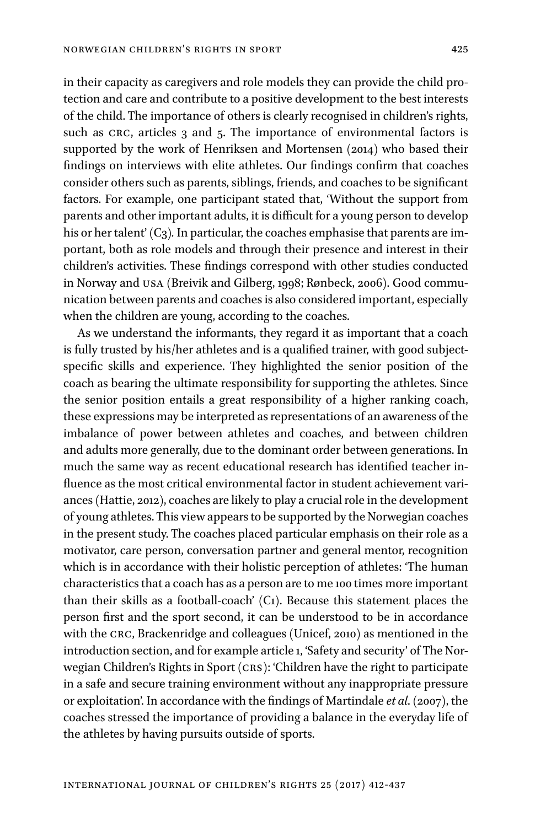in their capacity as caregivers and role models they can provide the child protection and care and contribute to a positive development to the best interests of the child. The importance of others is clearly recognised in children's rights, such as CRC, articles 3 and 5. The importance of environmental factors is supported by the work of Henriksen and Mortensen (2014) who based their findings on interviews with elite athletes. Our findings confirm that coaches consider others such as parents, siblings, friends, and coaches to be significant factors. For example, one participant stated that, 'Without the support from parents and other important adults, it is difficult for a young person to develop his or her talent' (C<sub>3</sub>). In particular, the coaches emphasise that parents are important, both as role models and through their presence and interest in their children's activities. These findings correspond with other studies conducted in Norway and usa (Breivik and Gilberg, 1998; Rønbeck, 2006). Good communication between parents and coaches is also considered important, especially when the children are young, according to the coaches.

As we understand the informants, they regard it as important that a coach is fully trusted by his/her athletes and is a qualified trainer, with good subjectspecific skills and experience. They highlighted the senior position of the coach as bearing the ultimate responsibility for supporting the athletes. Since the senior position entails a great responsibility of a higher ranking coach, these expressions may be interpreted as representations of an awareness of the imbalance of power between athletes and coaches, and between children and adults more generally, due to the dominant order between generations. In much the same way as recent educational research has identified teacher influence as the most critical environmental factor in student achievement variances (Hattie, 2012), coaches are likely to play a crucial role in the development of young athletes. This view appears to be supported by the Norwegian coaches in the present study. The coaches placed particular emphasis on their role as a motivator, care person, conversation partner and general mentor, recognition which is in accordance with their holistic perception of athletes: 'The human characteristics that a coach has as a person are to me 100 times more important than their skills as a football-coach' (C1). Because this statement places the person first and the sport second, it can be understood to be in accordance with the crc, Brackenridge and colleagues (Unicef, 2010) as mentioned in the introduction section, and for example article 1, 'Safety and security' of The Norwegian Children's Rights in Sport (crs): 'Children have the right to participate in a safe and secure training environment without any inappropriate pressure or exploitation'. In accordance with the findings of Martindale *et al*. (2007), the coaches stressed the importance of providing a balance in the everyday life of the athletes by having pursuits outside of sports.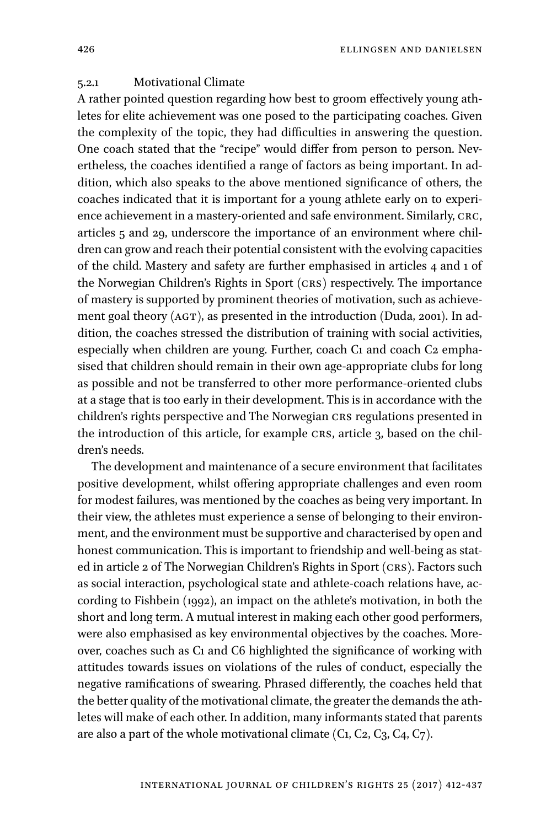## 5.2.1 Motivational Climate

A rather pointed question regarding how best to groom effectively young athletes for elite achievement was one posed to the participating coaches. Given the complexity of the topic, they had difficulties in answering the question. One coach stated that the "recipe" would differ from person to person. Nevertheless, the coaches identified a range of factors as being important. In addition, which also speaks to the above mentioned significance of others, the coaches indicated that it is important for a young athlete early on to experience achievement in a mastery-oriented and safe environment. Similarly, crc, articles 5 and 29, underscore the importance of an environment where children can grow and reach their potential consistent with the evolving capacities of the child. Mastery and safety are further emphasised in articles 4 and 1 of the Norwegian Children's Rights in Sport (crs) respectively. The importance of mastery is supported by prominent theories of motivation, such as achievement goal theory (AGT), as presented in the introduction (Duda, 2001). In addition, the coaches stressed the distribution of training with social activities, especially when children are young. Further, coach C1 and coach C2 emphasised that children should remain in their own age-appropriate clubs for long as possible and not be transferred to other more performance-oriented clubs at a stage that is too early in their development. This is in accordance with the children's rights perspective and The Norwegian crs regulations presented in the introduction of this article, for example crs, article 3, based on the children's needs.

The development and maintenance of a secure environment that facilitates positive development, whilst offering appropriate challenges and even room for modest failures, was mentioned by the coaches as being very important. In their view, the athletes must experience a sense of belonging to their environment, and the environment must be supportive and characterised by open and honest communication. This is important to friendship and well-being as stated in article 2 of The Norwegian Children's Rights in Sport (CRS). Factors such as social interaction, psychological state and athlete-coach relations have, according to Fishbein (1992), an impact on the athlete's motivation, in both the short and long term. A mutual interest in making each other good performers, were also emphasised as key environmental objectives by the coaches. Moreover, coaches such as C1 and C6 highlighted the significance of working with attitudes towards issues on violations of the rules of conduct, especially the negative ramifications of swearing. Phrased differently, the coaches held that the better quality of the motivational climate, the greater the demands the athletes will make of each other. In addition, many informants stated that parents are also a part of the whole motivational climate  $(C_1, C_2, C_3, C_4, C_7)$ .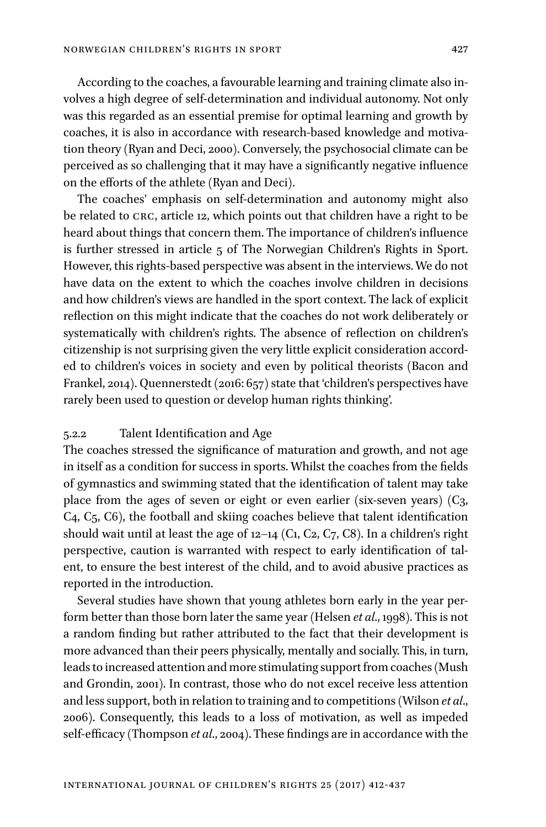According to the coaches, a favourable learning and training climate also involves a high degree of self-determination and individual autonomy. Not only was this regarded as an essential premise for optimal learning and growth by coaches, it is also in accordance with research-based knowledge and motivation theory (Ryan and Deci, 2000). Conversely, the psychosocial climate can be perceived as so challenging that it may have a significantly negative influence on the efforts of the athlete (Ryan and Deci).

The coaches' emphasis on self-determination and autonomy might also be related to crc, article 12, which points out that children have a right to be heard about things that concern them. The importance of children's influence is further stressed in article 5 of The Norwegian Children's Rights in Sport. However, this rights-based perspective was absent in the interviews. We do not have data on the extent to which the coaches involve children in decisions and how children's views are handled in the sport context. The lack of explicit reflection on this might indicate that the coaches do not work deliberately or systematically with children's rights. The absence of reflection on children's citizenship is not surprising given the very little explicit consideration accorded to children's voices in society and even by political theorists (Bacon and Frankel, 2014). Quennerstedt (2016: 657) state that 'children's perspectives have rarely been used to question or develop human rights thinking'.

## 5.2.2 Talent Identification and Age

The coaches stressed the significance of maturation and growth, and not age in itself as a condition for success in sports. Whilst the coaches from the fields of gymnastics and swimming stated that the identification of talent may take place from the ages of seven or eight or even earlier (six-seven years)  $(C_3, C_4)$ C4, C5, C6), the football and skiing coaches believe that talent identification should wait until at least the age of  $12-14$  (C1, C2, C7, C8). In a children's right perspective, caution is warranted with respect to early identification of talent, to ensure the best interest of the child, and to avoid abusive practices as reported in the introduction.

Several studies have shown that young athletes born early in the year perform better than those born later the same year (Helsen *et al*., 1998). This is not a random finding but rather attributed to the fact that their development is more advanced than their peers physically, mentally and socially. This, in turn, leads to increased attention and more stimulating support from coaches (Mush and Grondin, 2001). In contrast, those who do not excel receive less attention and less support, both in relation to training and to competitions (Wilson *et al*., 2006). Consequently, this leads to a loss of motivation, as well as impeded self-efficacy (Thompson *et al*., 2004). These findings are in accordance with the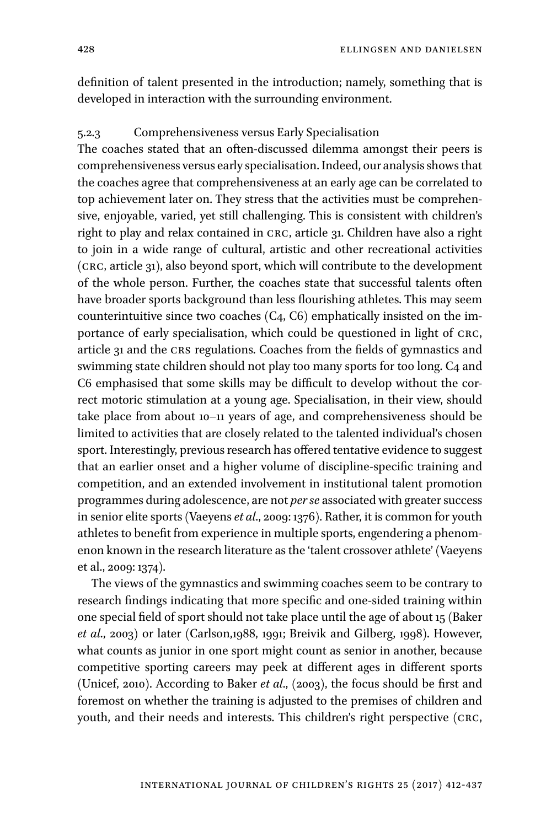definition of talent presented in the introduction; namely, something that is developed in interaction with the surrounding environment.

# 5.2.3 Comprehensiveness versus Early Specialisation

The coaches stated that an often-discussed dilemma amongst their peers is comprehensiveness versus early specialisation. Indeed, our analysis shows that the coaches agree that comprehensiveness at an early age can be correlated to top achievement later on. They stress that the activities must be comprehensive, enjoyable, varied, yet still challenging. This is consistent with children's right to play and relax contained in crc, article 31. Children have also a right to join in a wide range of cultural, artistic and other recreational activities (crc, article 31), also beyond sport, which will contribute to the development of the whole person. Further, the coaches state that successful talents often have broader sports background than less flourishing athletes. This may seem counterintuitive since two coaches (C4, C6) emphatically insisted on the importance of early specialisation, which could be questioned in light of crc, article 31 and the crs regulations. Coaches from the fields of gymnastics and swimming state children should not play too many sports for too long. C4 and C6 emphasised that some skills may be difficult to develop without the correct motoric stimulation at a young age. Specialisation, in their view, should take place from about 10–11 years of age, and comprehensiveness should be limited to activities that are closely related to the talented individual's chosen sport. Interestingly, previous research has offered tentative evidence to suggest that an earlier onset and a higher volume of discipline-specific training and competition, and an extended involvement in institutional talent promotion programmes during adolescence, are not *per se* associated with greater success in senior elite sports (Vaeyens *et al*., 2009: 1376). Rather, it is common for youth athletes to benefit from experience in multiple sports, engendering a phenomenon known in the research literature as the 'talent crossover athlete' (Vaeyens et al., 2009: 1374).

The views of the gymnastics and swimming coaches seem to be contrary to research findings indicating that more specific and one-sided training within one special field of sport should not take place until the age of about 15 (Baker *et al*., 2003) or later (Carlson,1988, 1991; Breivik and Gilberg, 1998). However, what counts as junior in one sport might count as senior in another, because competitive sporting careers may peek at different ages in different sports (Unicef, 2010). According to Baker *et al*., (2003), the focus should be first and foremost on whether the training is adjusted to the premises of children and youth, and their needs and interests. This children's right perspective (crc,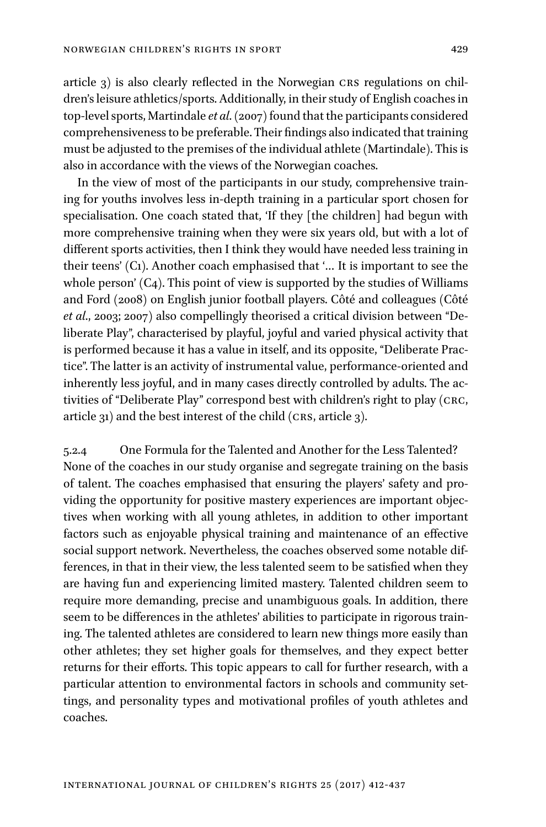article 3) is also clearly reflected in the Norwegian crs regulations on children's leisure athletics/sports. Additionally, in their study of English coaches in top-level sports, Martindale *et al*. (2007) found that the participants considered comprehensiveness to be preferable. Their findings also indicated that training must be adjusted to the premises of the individual athlete (Martindale). This is also in accordance with the views of the Norwegian coaches.

In the view of most of the participants in our study, comprehensive training for youths involves less in-depth training in a particular sport chosen for specialisation. One coach stated that, 'If they [the children] had begun with more comprehensive training when they were six years old, but with a lot of different sports activities, then I think they would have needed less training in their teens' (C1). Another coach emphasised that '… It is important to see the whole person'  $(C_4)$ . This point of view is supported by the studies of Williams and Ford (2008) on English junior football players. Côté and colleagues (Côté *et al*., 2003; 2007) also compellingly theorised a critical division between "Deliberate Play", characterised by playful, joyful and varied physical activity that is performed because it has a value in itself, and its opposite, "Deliberate Practice". The latter is an activity of instrumental value, performance-oriented and inherently less joyful, and in many cases directly controlled by adults. The activities of "Deliberate Play" correspond best with children's right to play (crc, article 31) and the best interest of the child (crs, article 3).

5.2.4 One Formula for the Talented and Another for the Less Talented? None of the coaches in our study organise and segregate training on the basis of talent. The coaches emphasised that ensuring the players' safety and providing the opportunity for positive mastery experiences are important objectives when working with all young athletes, in addition to other important factors such as enjoyable physical training and maintenance of an effective social support network. Nevertheless, the coaches observed some notable differences, in that in their view, the less talented seem to be satisfied when they are having fun and experiencing limited mastery. Talented children seem to require more demanding, precise and unambiguous goals. In addition, there seem to be differences in the athletes' abilities to participate in rigorous training. The talented athletes are considered to learn new things more easily than other athletes; they set higher goals for themselves, and they expect better returns for their efforts. This topic appears to call for further research, with a particular attention to environmental factors in schools and community settings, and personality types and motivational profiles of youth athletes and coaches.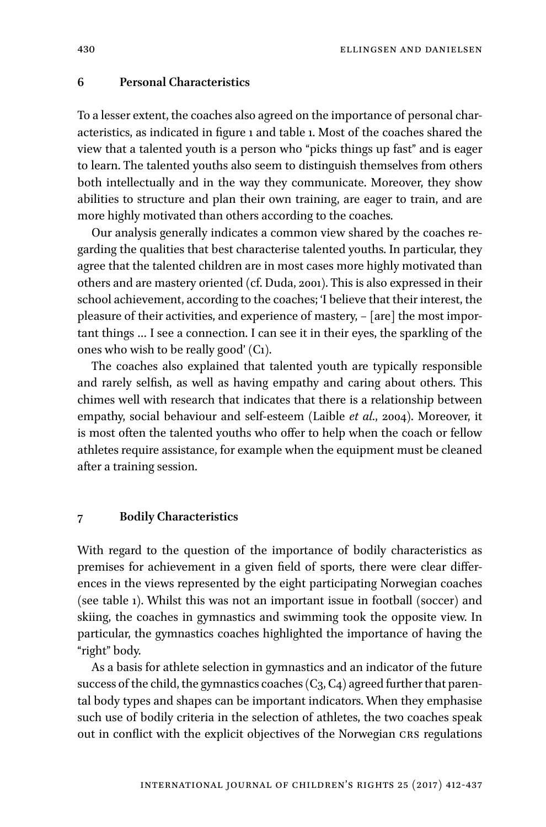#### **6 Personal Characteristics**

To a lesser extent, the coaches also agreed on the importance of personal characteristics, as indicated in figure 1 and table 1. Most of the coaches shared the view that a talented youth is a person who "picks things up fast" and is eager to learn. The talented youths also seem to distinguish themselves from others both intellectually and in the way they communicate. Moreover, they show abilities to structure and plan their own training, are eager to train, and are more highly motivated than others according to the coaches.

Our analysis generally indicates a common view shared by the coaches regarding the qualities that best characterise talented youths. In particular, they agree that the talented children are in most cases more highly motivated than others and are mastery oriented (cf. Duda, 2001). This is also expressed in their school achievement, according to the coaches; 'I believe that their interest, the pleasure of their activities, and experience of mastery, − [are] the most important things … I see a connection. I can see it in their eyes, the sparkling of the ones who wish to be really good' (C1).

The coaches also explained that talented youth are typically responsible and rarely selfish, as well as having empathy and caring about others. This chimes well with research that indicates that there is a relationship between empathy, social behaviour and self-esteem (Laible *et al*., 2004). Moreover, it is most often the talented youths who offer to help when the coach or fellow athletes require assistance, for example when the equipment must be cleaned after a training session.

#### **7 Bodily Characteristics**

With regard to the question of the importance of bodily characteristics as premises for achievement in a given field of sports, there were clear differences in the views represented by the eight participating Norwegian coaches (see table 1). Whilst this was not an important issue in football (soccer) and skiing, the coaches in gymnastics and swimming took the opposite view. In particular, the gymnastics coaches highlighted the importance of having the "right" body.

As a basis for athlete selection in gymnastics and an indicator of the future success of the child, the gymnastics coaches  $(C_3, C_4)$  agreed further that parental body types and shapes can be important indicators. When they emphasise such use of bodily criteria in the selection of athletes, the two coaches speak out in conflict with the explicit objectives of the Norwegian crs regulations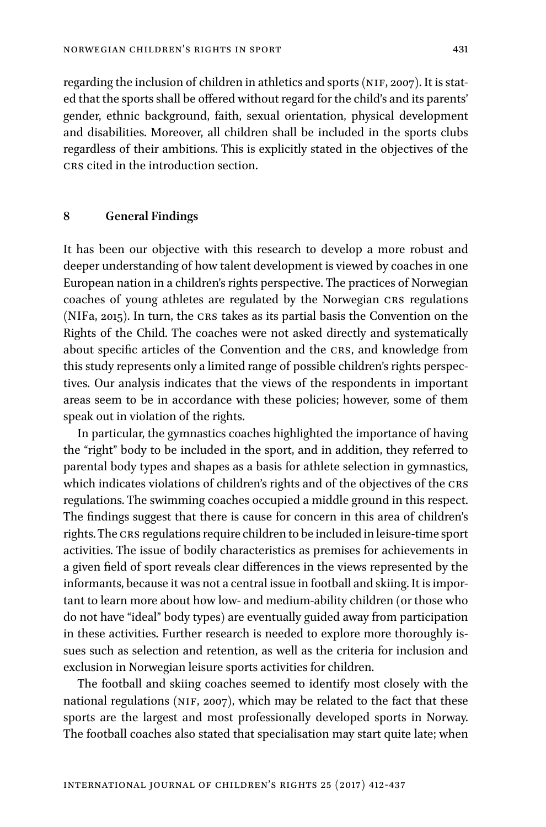regarding the inclusion of children in athletics and sports (NIF, 2007). It is stated that the sports shall be offered without regard for the child's and its parents' gender, ethnic background, faith, sexual orientation, physical development and disabilities. Moreover, all children shall be included in the sports clubs regardless of their ambitions. This is explicitly stated in the objectives of the crs cited in the introduction section.

#### **8 General Findings**

It has been our objective with this research to develop a more robust and deeper understanding of how talent development is viewed by coaches in one European nation in a children's rights perspective. The practices of Norwegian coaches of young athletes are regulated by the Norwegian crs regulations (NIFa, 2015). In turn, the crs takes as its partial basis the Convention on the Rights of the Child. The coaches were not asked directly and systematically about specific articles of the Convention and the crs, and knowledge from this study represents only a limited range of possible children's rights perspectives. Our analysis indicates that the views of the respondents in important areas seem to be in accordance with these policies; however, some of them speak out in violation of the rights.

In particular, the gymnastics coaches highlighted the importance of having the "right" body to be included in the sport, and in addition, they referred to parental body types and shapes as a basis for athlete selection in gymnastics, which indicates violations of children's rights and of the objectives of the crs regulations. The swimming coaches occupied a middle ground in this respect. The findings suggest that there is cause for concern in this area of children's rights. The crs regulations require children to be included in leisure-time sport activities. The issue of bodily characteristics as premises for achievements in a given field of sport reveals clear differences in the views represented by the informants, because it was not a central issue in football and skiing. It is important to learn more about how low- and medium-ability children (or those who do not have "ideal" body types) are eventually guided away from participation in these activities. Further research is needed to explore more thoroughly issues such as selection and retention, as well as the criteria for inclusion and exclusion in Norwegian leisure sports activities for children.

The football and skiing coaches seemed to identify most closely with the national regulations (NIF, 2007), which may be related to the fact that these sports are the largest and most professionally developed sports in Norway. The football coaches also stated that specialisation may start quite late; when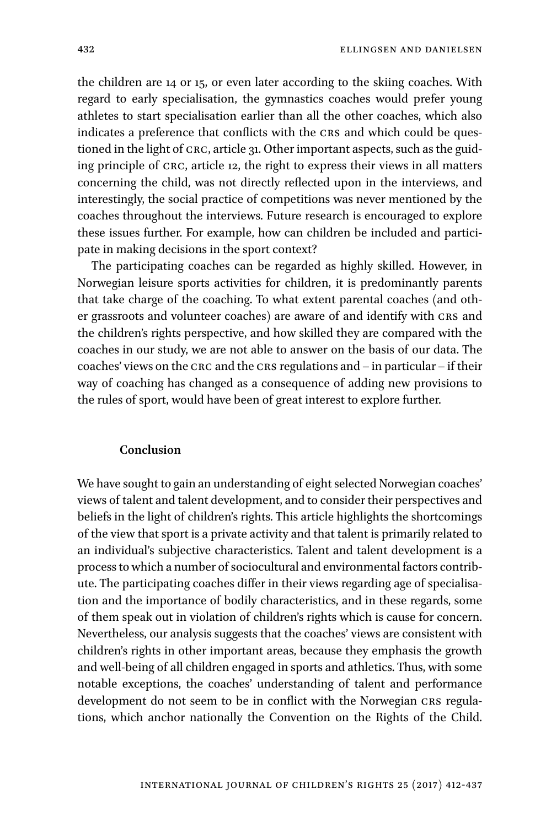the children are 14 or 15, or even later according to the skiing coaches. With regard to early specialisation, the gymnastics coaches would prefer young athletes to start specialisation earlier than all the other coaches, which also indicates a preference that conflicts with the crs and which could be questioned in the light of crc, article 31. Other important aspects, such as the guiding principle of crc, article 12, the right to express their views in all matters concerning the child, was not directly reflected upon in the interviews, and interestingly, the social practice of competitions was never mentioned by the coaches throughout the interviews. Future research is encouraged to explore these issues further. For example, how can children be included and participate in making decisions in the sport context?

The participating coaches can be regarded as highly skilled. However, in Norwegian leisure sports activities for children, it is predominantly parents that take charge of the coaching. To what extent parental coaches (and other grassroots and volunteer coaches) are aware of and identify with crs and the children's rights perspective, and how skilled they are compared with the coaches in our study, we are not able to answer on the basis of our data. The coaches' views on the crc and the crs regulations and – in particular – if their way of coaching has changed as a consequence of adding new provisions to the rules of sport, would have been of great interest to explore further.

#### **Conclusion**

We have sought to gain an understanding of eight selected Norwegian coaches' views of talent and talent development, and to consider their perspectives and beliefs in the light of children's rights. This article highlights the shortcomings of the view that sport is a private activity and that talent is primarily related to an individual's subjective characteristics. Talent and talent development is a process to which a number of sociocultural and environmental factors contribute. The participating coaches differ in their views regarding age of specialisation and the importance of bodily characteristics, and in these regards, some of them speak out in violation of children's rights which is cause for concern. Nevertheless, our analysis suggests that the coaches' views are consistent with children's rights in other important areas, because they emphasis the growth and well-being of all children engaged in sports and athletics. Thus, with some notable exceptions, the coaches' understanding of talent and performance development do not seem to be in conflict with the Norwegian CRS regulations, which anchor nationally the Convention on the Rights of the Child.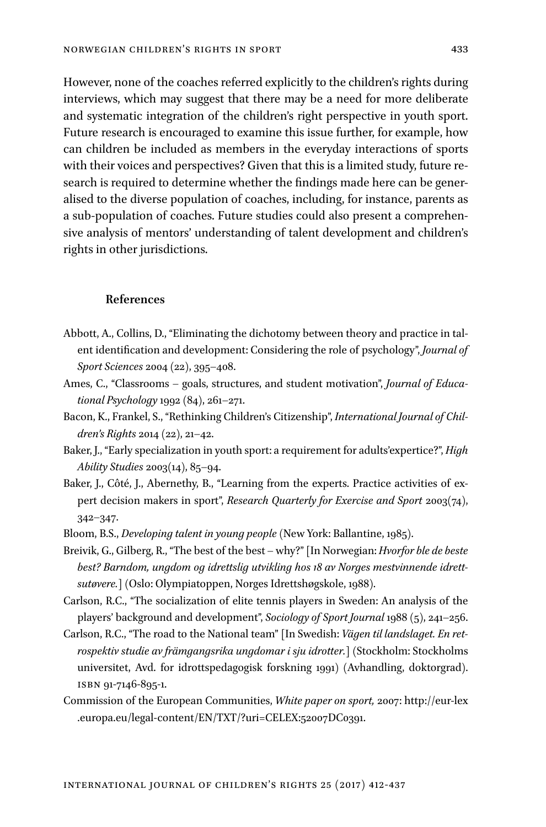However, none of the coaches referred explicitly to the children's rights during interviews, which may suggest that there may be a need for more deliberate and systematic integration of the children's right perspective in youth sport. Future research is encouraged to examine this issue further, for example, how can children be included as members in the everyday interactions of sports with their voices and perspectives? Given that this is a limited study, future research is required to determine whether the findings made here can be generalised to the diverse population of coaches, including, for instance, parents as a sub-population of coaches. Future studies could also present a comprehensive analysis of mentors' understanding of talent development and children's rights in other jurisdictions.

#### **References**

- Abbott, A., Collins, D., "Eliminating the dichotomy between theory and practice in talent identification and development: Considering the role of psychology", *Journal of Sport Sciences* 2004 (22), 395–408.
- Ames, C., "Classrooms goals, structures, and student motivation", *Journal of Educational Psychology* 1992 (84), 261–271.
- Bacon, K., Frankel, S., "Rethinking Children's Citizenship", *International Journal of Children's Rights* 2014 (22), 21–42.
- Baker, J., "Early specialization in youth sport: a requirement for adults'expertice?", *High Ability Studies* 2003(14), 85–94.
- Baker, J., Côté, J., Abernethy, B., "Learning from the experts. Practice activities of expert decision makers in sport", *Research Quarterly for Exercise and Sport* 2003(74), 342–347.
- Bloom, B.S., *Developing talent in young people* (New York: Ballantine, 1985).
- Breivik, G., Gilberg, R., "The best of the best why?" [In Norwegian: *Hvorfor ble de beste best? Barndom, ungdom og idrettslig utvikling hos 18 av Norges mestvinnende idrettsutøvere.*] (Oslo: Olympiatoppen, Norges Idrettshøgskole, 1988).
- Carlson, R.C., "The socialization of elite tennis players in Sweden: An analysis of the players' background and development", *Sociology of Sport Journal* 1988 (5), 241–256.
- Carlson, R.C., "The road to the National team" [In Swedish: *Vägen til landslaget. En retrospektiv studie av främgangsrika ungdomar i sju idrotter.*] (Stockholm: Stockholms universitet, Avd. for idrottspedagogisk forskning 1991) (Avhandling, doktorgrad). isbn 91-7146-895-1.
- Commission of the European Communities, *White paper on sport,* 2007: [http://eur-lex](http://eur-lex.europa.eu/legal-content/EN/TXT/?uri=CELEX:52007DC0391) [.europa.eu/legal-content/EN/TXT/?uri=CELEX:52007DC0391.](http://eur-lex.europa.eu/legal-content/EN/TXT/?uri=CELEX:52007DC0391)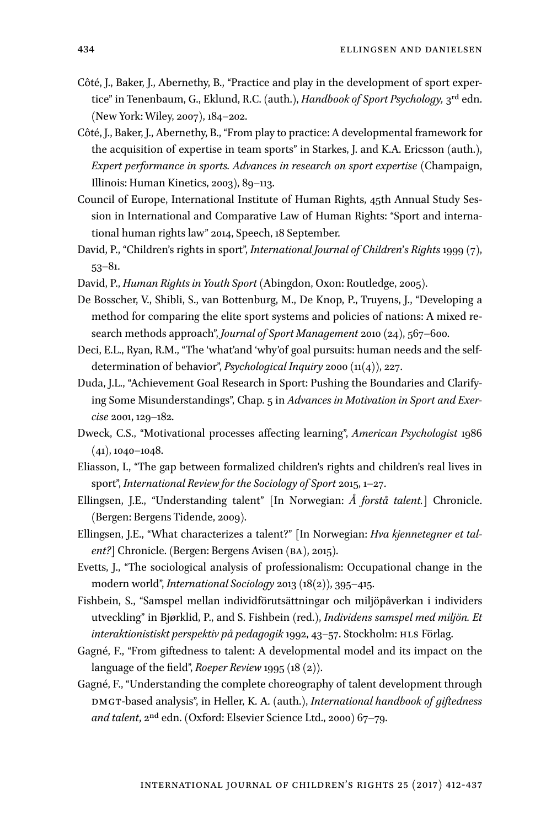- Côté, J., Baker, J., Abernethy, B., "Practice and play in the development of sport expertice" in Tenenbaum, G., Eklund, R.C. (auth.), *Handbook of Sport Psychology,* 3rd edn. (New York: Wiley, 2007), 184–202.
- Côté, J., Baker, J., Abernethy, B., "From play to practice: A developmental framework for the acquisition of expertise in team sports" in Starkes, J. and K.A. Ericsson (auth.), *Expert performance in sports. Advances in research on sport expertise* (Champaign, Illinois: Human Kinetics, 2003), 89–113.
- Council of Europe, International Institute of Human Rights, 45th Annual Study Session in International and Comparative Law of Human Rights: "Sport and international human rights law" 2014, Speech, 18 September.
- David, P., "Children's rights in sport", *International Journal of Children*'*s Rights* 1999 (7), 53–81.
- David, P., *Human Rights in Youth Sport* (Abingdon, Oxon: Routledge, 2005).
- De Bosscher, V., Shibli, S., van Bottenburg, M., De Knop, P., Truyens, J., "Developing a method for comparing the elite sport systems and policies of nations: A mixed research methods approach", *Journal of Sport Management* 2010 (24), 567–600.
- Deci, E.L., Ryan, R.M., "The 'what'and 'why'of goal pursuits: human needs and the selfdetermination of behavior", *Psychological Inquiry* 2000 (11(4)), 227.
- Duda, J.L., "Achievement Goal Research in Sport: Pushing the Boundaries and Clarifying Some Misunderstandings", Chap. 5 in *Advances in Motivation in Sport and Exercise* 2001, 129–182.
- Dweck, C.S., "Motivational processes affecting learning", *American Psychologist* 1986 (41), 1040–1048.
- Eliasson, I., "The gap between formalized children's rights and children's real lives in sport", *International Review for the Sociology of Sport* 2015, 1–27.
- Ellingsen, J.E., "Understanding talent" [In Norwegian: *Å forstå talent.*] Chronicle. (Bergen: Bergens Tidende, 2009).
- Ellingsen, J.E., "What characterizes a talent?" [In Norwegian: *Hva kjennetegner et tal*ent?] Chronicle. (Bergen: Bergens Avisen (BA), 2015).
- Evetts, J., "The sociological analysis of professionalism: Occupational change in the modern world", *International Sociology* 2013 (18(2)), 395–415.
- Fishbein, S., "Samspel mellan individförutsättningar och miljöpåverkan i individers utveckling" in Bjørklid, P., and S. Fishbein (red.), *Individens samspel med miljön. Et interaktionistiskt perspektiv på pedagogik* 1992, 43*–*57. Stockholm: hls Förlag.
- Gagné, F., "From giftedness to talent: A developmental model and its impact on the language of the field", *Roeper Review* 1995 (18 (2)).
- Gagné, F., "Understanding the complete choreography of talent development through dmgt-based analysis", in Heller, K. A. (auth.), *International handbook of giftedness and talent*, 2nd edn. (Oxford: Elsevier Science Ltd., 2000) 67–79.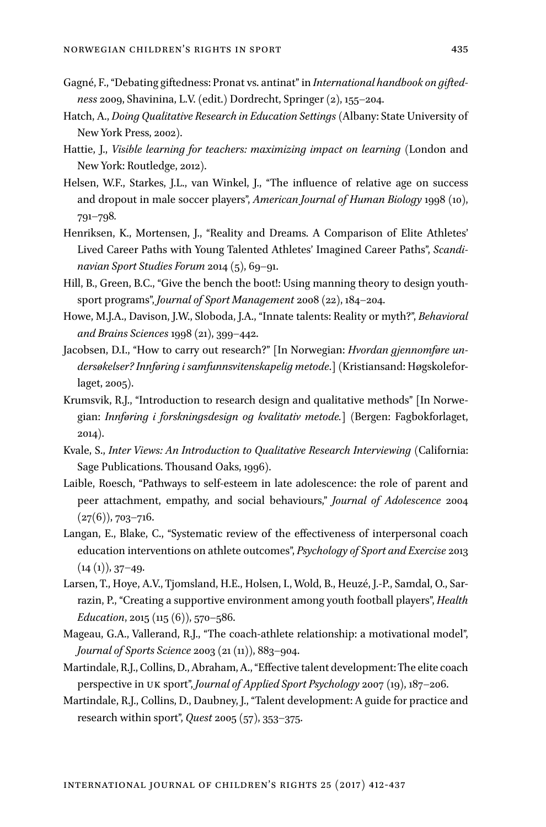- Gagné, F., "Debating giftedness: Pronat vs. antinat" in *International handbook on giftedness* 2009, Shavinina, L.V. (edit.) Dordrecht, Springer (2), 155–204.
- Hatch, A., *Doing Qualitative Research in Education Settings* (Albany: State University of New York Press, 2002).
- Hattie, J., *Visible learning for teachers: maximizing impact on learning* (London and New York: Routledge, 2012).
- Helsen, W.F., Starkes, J.L., van Winkel, J., "The influence of relative age on success and dropout in male soccer players", *American Journal of Human Biology* 1998 (10), 791–798*.*
- Henriksen, K., Mortensen, J., "Reality and Dreams. A Comparison of Elite Athletes' Lived Career Paths with Young Talented Athletes' Imagined Career Paths", *Scandinavian Sport Studies Forum* 2014 (5), 69–91.
- Hill, B., Green, B.C., "Give the bench the boot!: Using manning theory to design youthsport programs", *Journal of Sport Management* 2008 (22), 184–204.
- Howe, M.J.A., Davison, J.W., Sloboda, J.A., "Innate talents: Reality or myth?", *Behavioral and Brains Sciences* 1998 (21), 399–442.
- Jacobsen, D.I., "How to carry out research?" [In Norwegian: *Hvordan gjennomføre undersøkelser? Innføring i samfunnsvitenskapelig metode*.] (Kristiansand: Høgskoleforlaget, 2005).
- Krumsvik, R.J., "Introduction to research design and qualitative methods" [In Norwegian: *Innføring i forskningsdesign og kvalitativ metode.*] (Bergen: Fagbokforlaget, 2014).
- Kvale, S., *Inter Views: An Introduction to Qualitative Research Interviewing* (California: Sage Publications. Thousand Oaks, 1996).
- Laible, Roesch, "Pathways to self-esteem in late adolescence: the role of parent and peer attachment, empathy, and social behaviours," *Journal of Adolescence* 2004  $(27(6))$ , 703-716.
- Langan, E., Blake, C., "Systematic review of the effectiveness of interpersonal coach education interventions on athlete outcomes", *Psychology of Sport and Exercise* 2013  $(14 (1)), 37-49.$
- Larsen, T., Hoye, A.V., Tjomsland, H.E., Holsen, I., Wold, B., Heuzé, J.-P., Samdal, O., Sarrazin, P., "Creating a supportive environment among youth football players", *Health Education*, 2015 (115 (6)), 570–586.
- Mageau, G.A., Vallerand, R.J., "The coach-athlete relationship: a motivational model", *Journal of Sports Science* 2003 (21 (11)), 883–904.
- Martindale, R.J., Collins, D., Abraham, A., "Effective talent development: The elite coach perspective in uk sport", *Journal of Applied Sport Psychology* 2007 (19), 187–206.
- Martindale, R.J., Collins, D., Daubney, J., "Talent development: A guide for practice and research within sport", *Quest* 2005 (57), 353–375.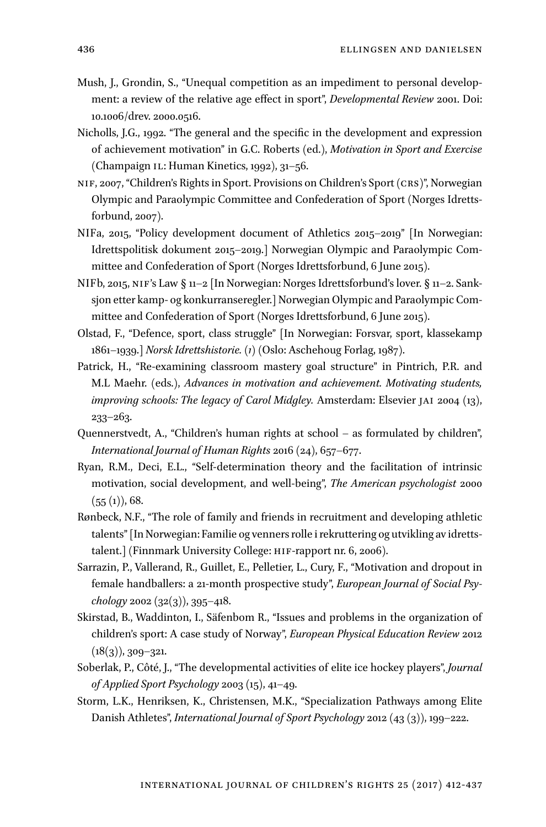- Mush, J., Grondin, S., "Unequal competition as an impediment to personal development: a review of the relative age effect in sport", *Developmental Review* 2001. Doi: 10.1006/drev. 2000.0516.
- Nicholls, J.G., 1992. "The general and the specific in the development and expression of achievement motivation" in G.C. Roberts (ed.), *Motivation in Sport and Exercise* (Champaign IL: Human Kinetics, 1992), 31–56.
- nif, 2007, "Children's Rights in Sport. Provisions on Children's Sport (crs)", Norwegian Olympic and Paraolympic Committee and Confederation of Sport (Norges Idrettsforbund, 2007).
- NIFa, 2015, "Policy development document of Athletics 2015–2019" [In Norwegian: Idrettspolitisk dokument 2015–2019.] Norwegian Olympic and Paraolympic Committee and Confederation of Sport (Norges Idrettsforbund, 6 June 2015).
- NIFb, 2015, NIF's Law  $\S$  11–2 [In Norwegian: Norges Idrettsforbund's lover.  $\S$  11–2. Sanksjon etter kamp- og konkurranseregler.] Norwegian Olympic and Paraolympic Committee and Confederation of Sport (Norges Idrettsforbund, 6 June 2015).
- Olstad, F., "Defence, sport, class struggle" [In Norwegian: Forsvar, sport, klassekamp 1861–1939.] *Norsk Idrettshistorie. (1)* (Oslo: Aschehoug Forlag, 1987).
- Patrick, H., "Re-examining classroom mastery goal structure" in Pintrich, P.R. and M.L Maehr. (eds.), *Advances in motivation and achievement. Motivating students, improving schools: The legacy of Carol Midgley. Amsterdam: Elsevier JAI 2004* (13), 233–263.
- Quennerstvedt, A., "Children's human rights at school as formulated by children", *International Journal of Human Rights* 2016 (24), 657–677.
- Ryan, R.M., Deci, E.L., "Self-determination theory and the facilitation of intrinsic motivation, social development, and well-being", *The American psychologist* 2000  $(55 (1))$ , 68.
- Rønbeck, N.F., "The role of family and friends in recruitment and developing athletic talents" [In Norwegian: Familie og venners rolle i rekruttering og utvikling av idrettstalent.] (Finnmark University College: hif-rapport nr. 6, 2006).
- Sarrazin, P., Vallerand, R., Guillet, E., Pelletier, L., Cury, F., "Motivation and dropout in female handballers: a 21-month prospective study", *European Journal of Social Psychology* 2002 (32(3)), 395–418.
- Skirstad, B., Waddinton, I., Säfenbom R., "Issues and problems in the organization of children's sport: A case study of Norway", *European Physical Education Review* 2012  $(18(3))$ , 309–321.
- Soberlak, P., Côté, J., "The developmental activities of elite ice hockey players", *Journal of Applied Sport Psychology* 2003 (15), 41–49.
- Storm, L.K., Henriksen, K., Christensen, M.K., "Specialization Pathways among Elite Danish Athletes", *International Journal of Sport Psychology* 2012 (43 (3)), 199–222.